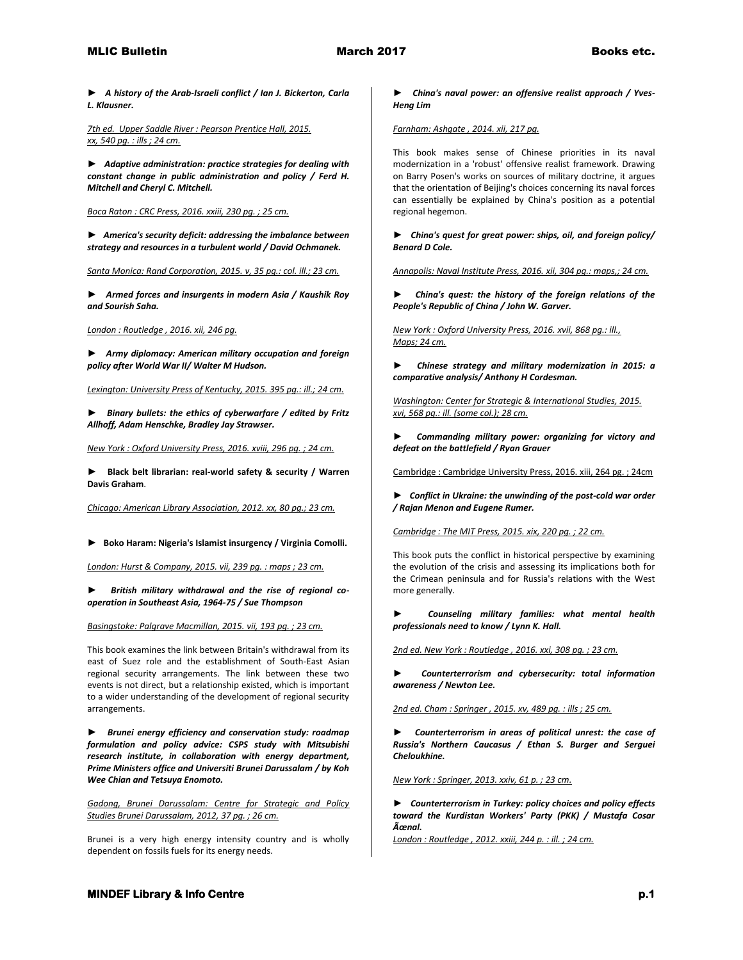*► A history of the Arab-Israeli conflict / Ian J. Bickerton, Carla L. Klausner.*

*7th ed. Upper Saddle River : Pearson Prentice Hall, 2015. xx, 540 pg. : ills ; 24 cm.* 

*► Adaptive administration: practice strategies for dealing with constant change in public administration and policy / Ferd H. Mitchell and Cheryl C. Mitchell.*

*Boca Raton : CRC Press, 2016. xxiii, 230 pg. ; 25 cm.* 

*► America's security deficit: addressing the imbalance between strategy and resources in a turbulent world / David Ochmanek.*

*Santa Monica: Rand Corporation, 2015. v, 35 pg.: col. ill.; 23 cm.* 

*► Armed forces and insurgents in modern Asia / Kaushik Roy and Sourish Saha.*

*London : Routledge , 2016. xii, 246 pg.* 

*► Army diplomacy: American military occupation and foreign policy after World War II/ Walter M Hudson.*

*Lexington: University Press of Kentucky, 2015. 395 pg.: ill.; 24 cm.* 

*► Binary bullets: the ethics of cyberwarfare / edited by Fritz Allhoff, Adam Henschke, Bradley Jay Strawser.*

*New York : Oxford University Press, 2016. xviii, 296 pg. ; 24 cm.* 

► **Black belt librarian: real-world safety & security / Warren Davis Graham**.

*Chicago: American Library Association, 2012. xx, 80 pg.; 23 cm.* 

**► Boko Haram: Nigeria's Islamist insurgency / Virginia Comolli.**

*London: Hurst & Company, 2015. vii, 239 pg. : maps ; 23 cm.* 

British military withdrawal and the rise of regional co*operation in Southeast Asia, 1964-75 / Sue Thompson*

*Basingstoke: Palgrave Macmillan, 2015. vii, 193 pg. ; 23 cm.*

This book examines the link between Britain's withdrawal from its east of Suez role and the establishment of South-East Asian regional security arrangements. The link between these two events is not direct, but a relationship existed, which is important to a wider understanding of the development of regional security arrangements.

*► Brunei energy efficiency and conservation study: roadmap formulation and policy advice: CSPS study with Mitsubishi research institute, in collaboration with energy department, Prime Ministers office and Universiti Brunei Darussalam / by Koh Wee Chian and Tetsuya Enomoto.*

*Gadong, Brunei Darussalam: Centre for Strategic and Policy Studies Brunei Darussalam, 2012, 37 pg. ; 26 cm.*

Brunei is a very high energy intensity country and is wholly dependent on fossils fuels for its energy needs.

*► China's naval power: an offensive realist approach / Yves-Heng Lim*

*Farnham: Ashgate , 2014. xii, 217 pg.*

This book makes sense of Chinese priorities in its naval modernization in a 'robust' offensive realist framework. Drawing on Barry Posen's works on sources of military doctrine, it argues that the orientation of Beijing's choices concerning its naval forces can essentially be explained by China's position as a potential regional hegemon.

*► China's quest for great power: ships, oil, and foreign policy/ Benard D Cole.*

*Annapolis: Naval Institute Press, 2016. xii, 304 pg.: maps,; 24 cm.* 

*► China's quest: the history of the foreign relations of the People's Republic of China / John W. Garver.*

*New York : Oxford University Press, 2016. xvii, 868 pg.: ill., Maps; 24 cm.* 

*► Chinese strategy and military modernization in 2015: a comparative analysis/ Anthony H Cordesman.*

*Washington: Center for Strategic & International Studies, 2015. xvi, 568 pg.: ill. (some col.); 28 cm.* 

*► Commanding military power: organizing for victory and defeat on the battlefield / Ryan Grauer*

Cambridge : Cambridge University Press, 2016. xiii, 264 pg. ; 24cm

*► Conflict in Ukraine: the unwinding of the post-cold war order / Rajan Menon and Eugene Rumer.*

*Cambridge : The MIT Press, 2015. xix, 220 pg. ; 22 cm.*

This book puts the conflict in historical perspective by examining the evolution of the crisis and assessing its implications both for the Crimean peninsula and for Russia's relations with the West more generally.

*► Counseling military families: what mental health professionals need to know / Lynn K. Hall.*

*2nd ed. New York : Routledge , 2016. xxi, 308 pg. ; 23 cm.* 

*► Counterterrorism and cybersecurity: total information awareness / Newton Lee.*

*2nd ed. Cham : Springer , 2015. xv, 489 pg. : ills ; 25 cm.* 

*► Counterterrorism in areas of political unrest: the case of Russia's Northern Caucasus / Ethan S. Burger and Serguei Cheloukhine.*

*New York : Springer, 2013. xxiv, 61 p. ; 23 cm.* 

*► Counterterrorism in Turkey: policy choices and policy effects toward the Kurdistan Workers' Party (PKK) / Mustafa Cosar Ünal.*

*London : Routledge , 2012. xxiii, 244 p. : ill. ; 24 cm.*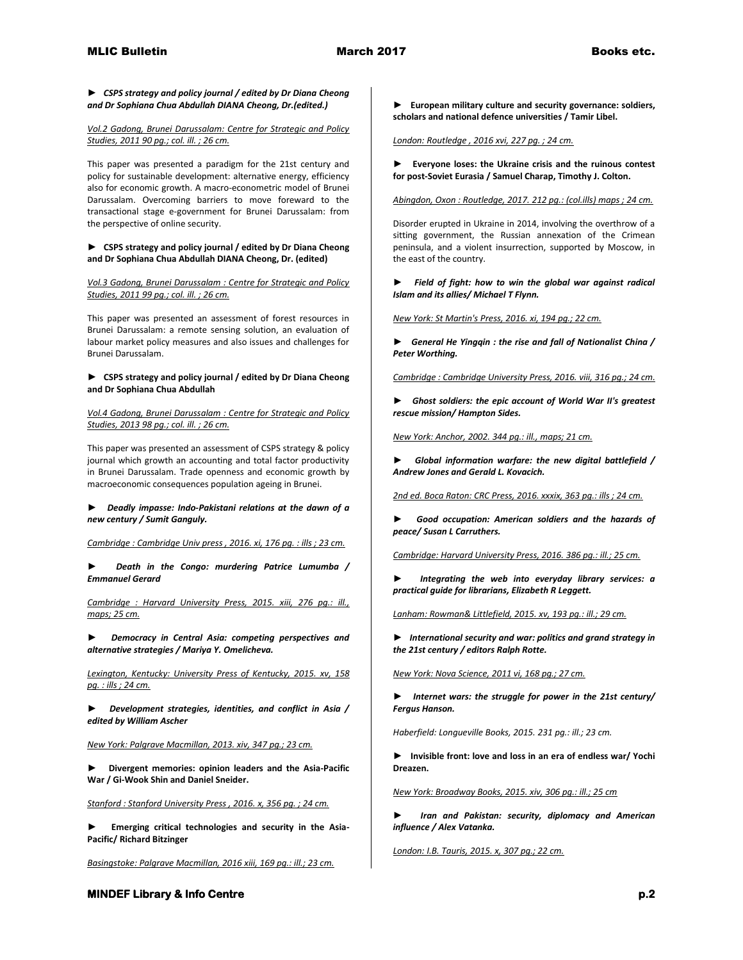*► CSPS strategy and policy journal / edited by Dr Diana Cheong and Dr Sophiana Chua Abdullah DIANA Cheong, Dr.(edited.)*

*Vol.2 Gadong, Brunei Darussalam: Centre for Strategic and Policy Studies, 2011 90 pg.; col. ill. ; 26 cm.*

This paper was presented a paradigm for the 21st century and policy for sustainable development: alternative energy, efficiency also for economic growth. A macro-econometric model of Brunei Darussalam. Overcoming barriers to move foreward to the transactional stage e-government for Brunei Darussalam: from the perspective of online security.

**► CSPS strategy and policy journal / edited by Dr Diana Cheong and Dr Sophiana Chua Abdullah DIANA Cheong, Dr. (edited)**

*Vol.3 Gadong, Brunei Darussalam : Centre for Strategic and Policy Studies, 2011 99 pg.; col. ill. ; 26 cm.*

This paper was presented an assessment of forest resources in Brunei Darussalam: a remote sensing solution, an evaluation of labour market policy measures and also issues and challenges for Brunei Darussalam.

# **► CSPS strategy and policy journal / edited by Dr Diana Cheong and Dr Sophiana Chua Abdullah**

*Vol.4 Gadong, Brunei Darussalam : Centre for Strategic and Policy Studies, 2013 98 pg.; col. ill. ; 26 cm.*

This paper was presented an assessment of CSPS strategy & policy journal which growth an accounting and total factor productivity in Brunei Darussalam. Trade openness and economic growth by macroeconomic consequences population ageing in Brunei.

*► Deadly impasse: Indo-Pakistani relations at the dawn of a new century / Sumit Ganguly.*

*Cambridge : Cambridge Univ press , 2016. xi, 176 pg. : ills ; 23 cm.* 

*► Death in the Congo: murdering Patrice Lumumba / Emmanuel Gerard*

*Cambridge : Harvard University Press, 2015. xiii, 276 pg.: ill., maps; 25 cm.* 

*► Democracy in Central Asia: competing perspectives and alternative strategies / Mariya Y. Omelicheva.*

*Lexington, Kentucky: University Press of Kentucky, 2015. xv, 158 pg. : ills ; 24 cm.* 

*► Development strategies, identities, and conflict in Asia / edited by William Ascher*

*New York: Palgrave Macmillan, 2013. xiv, 347 pg.; 23 cm.* 

**► Divergent memories: opinion leaders and the Asia-Pacific War / Gi-Wook Shin and Daniel Sneider.**

*Stanford : Stanford University Press , 2016. x, 356 pg. ; 24 cm.* 

**► Emerging critical technologies and security in the Asia-Pacific/ Richard Bitzinger**

*Basingstoke: Palgrave Macmillan, 2016 xiii, 169 pg.: ill.; 23 cm.* 

**► European military culture and security governance: soldiers, scholars and national defence universities / Tamir Libel.**

*London: Routledge , 2016 xvi, 227 pg. ; 24 cm.* 

**► Everyone loses: the Ukraine crisis and the ruinous contest for post-Soviet Eurasia / Samuel Charap, Timothy J. Colton.**

*Abingdon, Oxon : Routledge, 2017. 212 pg.: (col.ills) maps ; 24 cm.*

Disorder erupted in Ukraine in 2014, involving the overthrow of a sitting government, the Russian annexation of the Crimean peninsula, and a violent insurrection, supported by Moscow, in the east of the country.

*► Field of fight: how to win the global war against radical Islam and its allies/ Michael T Flynn.*

*New York: St Martin's Press, 2016. xi, 194 pg.; 22 cm.* 

*► General He Yingqin : the rise and fall of Nationalist China / Peter Worthing.*

*Cambridge : Cambridge University Press, 2016. viii, 316 pg.; 24 cm.* 

*► Ghost soldiers: the epic account of World War II's greatest rescue mission/ Hampton Sides.*

*New York: Anchor, 2002. 344 pg.: ill., maps; 21 cm.* 

*► Global information warfare: the new digital battlefield / Andrew Jones and Gerald L. Kovacich.*

*2nd ed. Boca Raton: CRC Press, 2016. xxxix, 363 pg.: ills ; 24 cm.* 

*► Good occupation: American soldiers and the hazards of peace/ Susan L Carruthers.*

*Cambridge: Harvard University Press, 2016. 386 pg.: ill.; 25 cm.* 

*► Integrating the web into everyday library services: a practical guide for librarians, Elizabeth R Leggett.*

*Lanham: Rowman& Littlefield, 2015. xv, 193 pg.: ill.; 29 cm.* 

*► International security and war: politics and grand strategy in the 21st century / editors Ralph Rotte.*

*New York: Nova Science, 2011 vi, 168 pg.; 27 cm.* 

*► Internet wars: the struggle for power in the 21st century/ Fergus Hanson.*

*Haberfield: Longueville Books, 2015. 231 pg.: ill.; 23 cm.* 

**► Invisible front: love and loss in an era of endless war/ Yochi Dreazen.**

*New York: Broadway Books, 2015. xiv, 306 pg.: ill.; 25 cm* 

*► Iran and Pakistan: security, diplomacy and American influence / Alex Vatanka.*

*London: I.B. Tauris, 2015. x, 307 pg.; 22 cm.*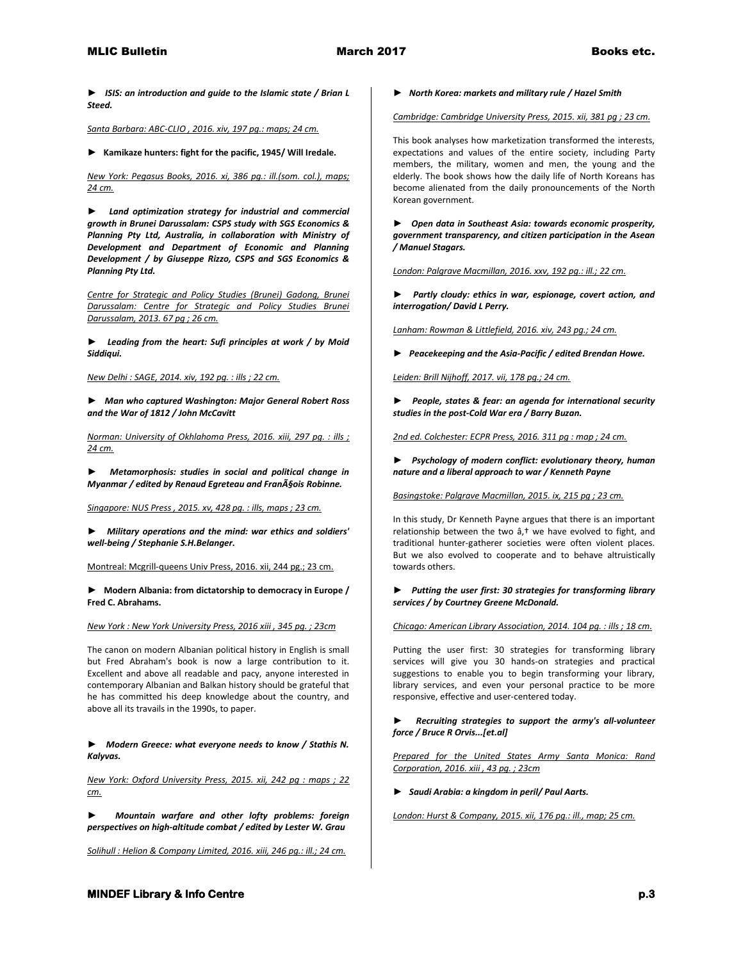*► ISIS: an introduction and guide to the Islamic state / Brian L Steed.*

*Santa Barbara: ABC-CLIO , 2016. xiv, 197 pg.: maps; 24 cm.* 

**► Kamikaze hunters: fight for the pacific, 1945/ Will Iredale.**

*New York: Pegasus Books, 2016. xi, 386 pg.: ill.(som. col.), maps; 24 cm.* 

*► Land optimization strategy for industrial and commercial growth in Brunei Darussalam: CSPS study with SGS Economics & Planning Pty Ltd, Australia, in collaboration with Ministry of Development and Department of Economic and Planning Development / by Giuseppe Rizzo, CSPS and SGS Economics & Planning Pty Ltd.*

*Centre for Strategic and Policy Studies (Brunei) Gadong, Brunei Darussalam: Centre for Strategic and Policy Studies Brunei Darussalam, 2013. 67 pg ; 26 cm.* 

*► Leading from the heart: Sufi principles at work / by Moid Siddiqui.*

*New Delhi : SAGE, 2014. xiv, 192 pg. : ills ; 22 cm.* 

*► Man who captured Washington: Major General Robert Ross and the War of 1812 / John McCavitt*

*Norman: University of Okhlahoma Press, 2016. xiii, 297 pg. : ills ; 24 cm.* 

*► Metamorphosis: studies in social and political change in Myanmar / edited by Renaud Egreteau and François Robinne.* 

*Singapore: NUS Press , 2015. xv, 428 pg. : ills, maps ; 23 cm.* 

*► Military operations and the mind: war ethics and soldiers' well-being / Stephanie S.H.Belanger.*

Montreal: Mcgrill-queens Univ Press, 2016. xii, 244 pg.; 23 cm.

**► Modern Albania: from dictatorship to democracy in Europe / Fred C. Abrahams.**

*New York : New York University Press, 2016 xiii , 345 pg. ; 23cm*

The canon on modern Albanian political history in English is small but Fred Abraham's book is now a large contribution to it. Excellent and above all readable and pacy, anyone interested in contemporary Albanian and Balkan history should be grateful that he has committed his deep knowledge about the country, and above all its travails in the 1990s, to paper.

*► Modern Greece: what everyone needs to know / Stathis N. Kalyvas.*

*New York: Oxford University Press, 2015. xii, 242 pg : maps ; 22 cm.* 

*► Mountain warfare and other lofty problems: foreign perspectives on high-altitude combat / edited by Lester W. Grau*

*Solihull : Helion & Company Limited, 2016. xiii, 246 pg.: ill.; 24 cm.* 

*► North Korea: markets and military rule / Hazel Smith*

*Cambridge: Cambridge University Press, 2015. xii, 381 pg ; 23 cm.*

This book analyses how marketization transformed the interests, expectations and values of the entire society, including Party members, the military, women and men, the young and the elderly. The book shows how the daily life of North Koreans has become alienated from the daily pronouncements of the North Korean government.

*► Open data in Southeast Asia: towards economic prosperity, government transparency, and citizen participation in the Asean / Manuel Stagars.*

*London: Palgrave Macmillan, 2016. xxv, 192 pg.: ill.; 22 cm.* 

*► Partly cloudy: ethics in war, espionage, covert action, and interrogation/ David L Perry.*

*Lanham: Rowman & Littlefield, 2016. xiv, 243 pg.; 24 cm.* 

*► Peacekeeping and the Asia-Pacific / edited Brendan Howe.* 

*Leiden: Brill Nijhoff, 2017. vii, 178 pg.; 24 cm.* 

*► People, states & fear: an agenda for international security studies in the post-Cold War era / Barry Buzan.*

*2nd ed. Colchester: ECPR Press, 2016. 311 pg : map ; 24 cm.* 

*► Psychology of modern conflict: evolutionary theory, human nature and a liberal approach to war / Kenneth Payne*

*Basingstoke: Palgrave Macmillan, 2015. ix, 215 pg ; 23 cm.*

In this study, Dr Kenneth Payne argues that there is an important relationship between the two  $a,$ <sup>†</sup> we have evolved to fight, and traditional hunter-gatherer societies were often violent places. But we also evolved to cooperate and to behave altruistically towards others.

## *► Putting the user first: 30 strategies for transforming library services / by Courtney Greene McDonald.*

*Chicago: American Library Association, 2014. 104 pg. : ills ; 18 cm.*

Putting the user first: 30 strategies for transforming library services will give you 30 hands-on strategies and practical suggestions to enable you to begin transforming your library, library services, and even your personal practice to be more responsive, effective and user-centered today.

*► Recruiting strategies to support the army's all-volunteer force / Bruce R Orvis...[et.al]*

*Prepared for the United States Army Santa Monica: Rand Corporation, 2016. xiii , 43 pg. ; 23cm* 

*► Saudi Arabia: a kingdom in peril/ Paul Aarts.*

*London: Hurst & Company, 2015. xii, 176 pg.: ill., map; 25 cm.*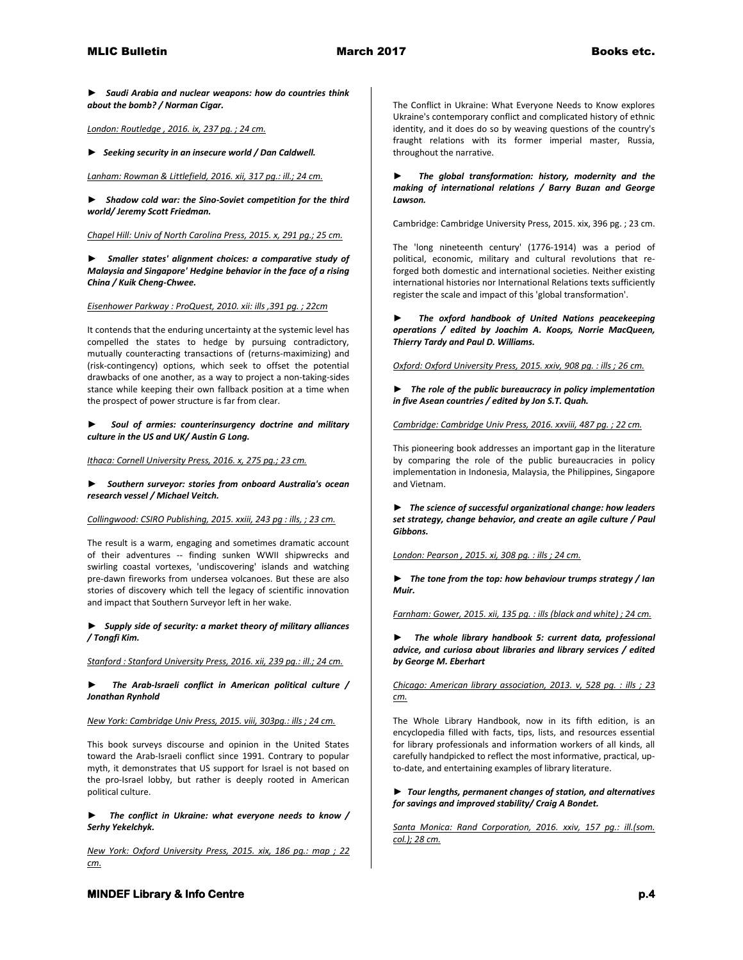*► Saudi Arabia and nuclear weapons: how do countries think about the bomb? / Norman Cigar.*

*London: Routledge , 2016. ix, 237 pg. ; 24 cm.* 

*► Seeking security in an insecure world / Dan Caldwell.*

*Lanham: Rowman & Littlefield, 2016. xii, 317 pg.: ill.; 24 cm.* 

*► Shadow cold war: the Sino-Soviet competition for the third world/ Jeremy Scott Friedman.*

*Chapel Hill: Univ of North Carolina Press, 2015. x, 291 pg.; 25 cm.* 

*► Smaller states' alignment choices: a comparative study of Malaysia and Singapore' Hedgine behavior in the face of a rising China / Kuik Cheng-Chwee.*

*Eisenhower Parkway : ProQuest, 2010. xii: ills ,391 pg. ; 22cm*

It contends that the enduring uncertainty at the systemic level has compelled the states to hedge by pursuing contradictory, mutually counteracting transactions of (returns-maximizing) and (risk-contingency) options, which seek to offset the potential drawbacks of one another, as a way to project a non-taking-sides stance while keeping their own fallback position at a time when the prospect of power structure is far from clear.

*► Soul of armies: counterinsurgency doctrine and military culture in the US and UK/ Austin G Long.*

*Ithaca: Cornell University Press, 2016. x, 275 pg.; 23 cm.* 

*► Southern surveyor: stories from onboard Australia's ocean research vessel / Michael Veitch.*

*Collingwood: CSIRO Publishing, 2015. xxiii, 243 pg : ills, ; 23 cm.*

The result is a warm, engaging and sometimes dramatic account of their adventures -- finding sunken WWII shipwrecks and swirling coastal vortexes, 'undiscovering' islands and watching pre-dawn fireworks from undersea volcanoes. But these are also stories of discovery which tell the legacy of scientific innovation and impact that Southern Surveyor left in her wake.

*► Supply side of security: a market theory of military alliances / Tongfi Kim.*

*Stanford : Stanford University Press, 2016. xii, 239 pg.: ill.; 24 cm.* 

*► The Arab-Israeli conflict in American political culture / Jonathan Rynhold*

*New York: Cambridge Univ Press, 2015. viii, 303pg.: ills ; 24 cm.*

This book surveys discourse and opinion in the United States toward the Arab-Israeli conflict since 1991. Contrary to popular myth, it demonstrates that US support for Israel is not based on the pro-Israel lobby, but rather is deeply rooted in American political culture.

*► The conflict in Ukraine: what everyone needs to know / Serhy Yekelchyk.*

*New York: Oxford University Press, 2015. xix, 186 pg.: map ; 22 cm.*

The Conflict in Ukraine: What Everyone Needs to Know explores Ukraine's contemporary conflict and complicated history of ethnic identity, and it does do so by weaving questions of the country's fraught relations with its former imperial master, Russia, throughout the narrative.

*► The global transformation: history, modernity and the making of international relations / Barry Buzan and George Lawson.*

Cambridge: Cambridge University Press, 2015. xix, 396 pg. ; 23 cm.

The 'long nineteenth century' (1776-1914) was a period of political, economic, military and cultural revolutions that reforged both domestic and international societies. Neither existing international histories nor International Relations texts sufficiently register the scale and impact of this 'global transformation'.

*► The oxford handbook of United Nations peacekeeping operations / edited by Joachim A. Koops, Norrie MacQueen, Thierry Tardy and Paul D. Williams.*

*Oxford: Oxford University Press, 2015. xxiv, 908 pg. : ills ; 26 cm.* 

*► The role of the public bureaucracy in policy implementation in five Asean countries / edited by Jon S.T. Quah.*

*Cambridge: Cambridge Univ Press, 2016. xxviii, 487 pg. ; 22 cm.*

This pioneering book addresses an important gap in the literature by comparing the role of the public bureaucracies in policy implementation in Indonesia, Malaysia, the Philippines, Singapore and Vietnam.

*► The science of successful organizational change: how leaders set strategy, change behavior, and create an agile culture / Paul Gibbons.* 

*London: Pearson , 2015. xi, 308 pg. : ills ; 24 cm.* 

*► The tone from the top: how behaviour trumps strategy / Ian Muir.*

*Farnham: Gower, 2015. xii, 135 pg. : ills (black and white) ; 24 cm.* 

*► The whole library handbook 5: current data, professional advice, and curiosa about libraries and library services / edited by George M. Eberhart*

*Chicago: American library association, 2013. v, 528 pg. : ills ; 23 cm.*

The Whole Library Handbook, now in its fifth edition, is an encyclopedia filled with facts, tips, lists, and resources essential for library professionals and information workers of all kinds, all carefully handpicked to reflect the most informative, practical, upto-date, and entertaining examples of library literature.

# *► Tour lengths, permanent changes of station, and alternatives for savings and improved stability/ Craig A Bondet.*

*Santa Monica: Rand Corporation, 2016. xxiv, 157 pg.: ill.(som. col.); 28 cm.* 

**MINDEF Library & Info Centre p.4 p.4**